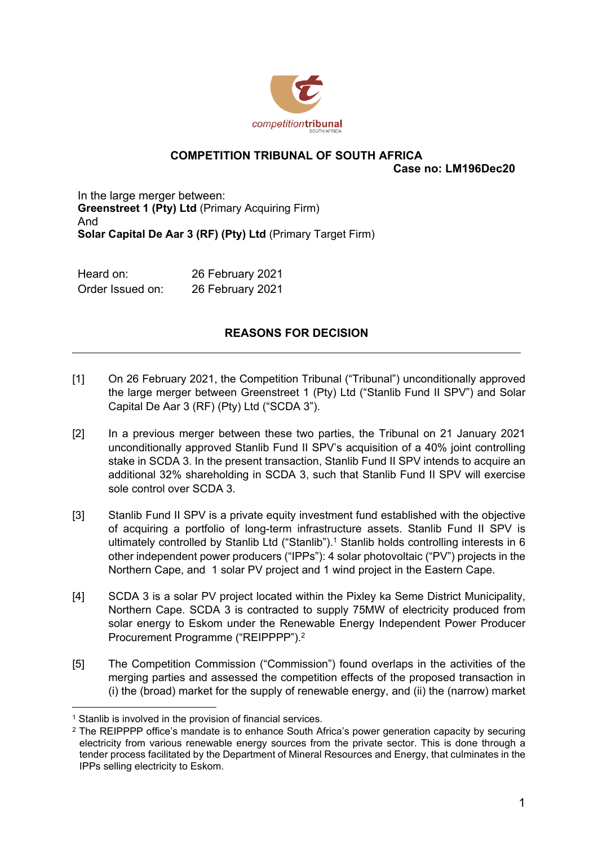

## **COMPETITION TRIBUNAL OF SOUTH AFRICA**

**Case no: LM196Dec20**

In the large merger between: **Greenstreet 1 (Pty) Ltd** (Primary Acquiring Firm) And **Solar Capital De Aar 3 (RF) (Pty) Ltd** (Primary Target Firm)

Heard on: 26 February 2021 Order Issued on: 26 February 2021

## **REASONS FOR DECISION**

- [1] On 26 February 2021, the Competition Tribunal ("Tribunal") unconditionally approved the large merger between Greenstreet 1 (Pty) Ltd ("Stanlib Fund II SPV") and Solar Capital De Aar 3 (RF) (Pty) Ltd ("SCDA 3").
- [2] In a previous merger between these two parties, the Tribunal on 21 January 2021 unconditionally approved Stanlib Fund II SPV's acquisition of a 40% joint controlling stake in SCDA 3. In the present transaction, Stanlib Fund II SPV intends to acquire an additional 32% shareholding in SCDA 3, such that Stanlib Fund II SPV will exercise sole control over SCDA 3.
- [3] Stanlib Fund II SPV is a private equity investment fund established with the objective of acquiring a portfolio of long-term infrastructure assets. Stanlib Fund II SPV is ultimately controlled by Stanlib Ltd ("Stanlib").<sup>1</sup> Stanlib holds controlling interests in 6 other independent power producers ("IPPs"): 4 solar photovoltaic ("PV") projects in the Northern Cape, and 1 solar PV project and 1 wind project in the Eastern Cape.
- [4] SCDA 3 is a solar PV project located within the Pixley ka Seme District Municipality, Northern Cape. SCDA 3 is contracted to supply 75MW of electricity produced from solar energy to Eskom under the Renewable Energy Independent Power Producer Procurement Programme ("REIPPPP").<sup>2</sup>
- [5] The Competition Commission ("Commission") found overlaps in the activities of the merging parties and assessed the competition effects of the proposed transaction in (i) the (broad) market for the supply of renewable energy, and (ii) the (narrow) market

<sup>&</sup>lt;sup>1</sup> Stanlib is involved in the provision of financial services.

<sup>&</sup>lt;sup>2</sup> The REIPPPP office's mandate is to enhance South Africa's power generation capacity by securing electricity from various renewable energy sources from the private sector. This is done through a tender process facilitated by the Department of Mineral Resources and Energy, that culminates in the IPPs selling electricity to Eskom.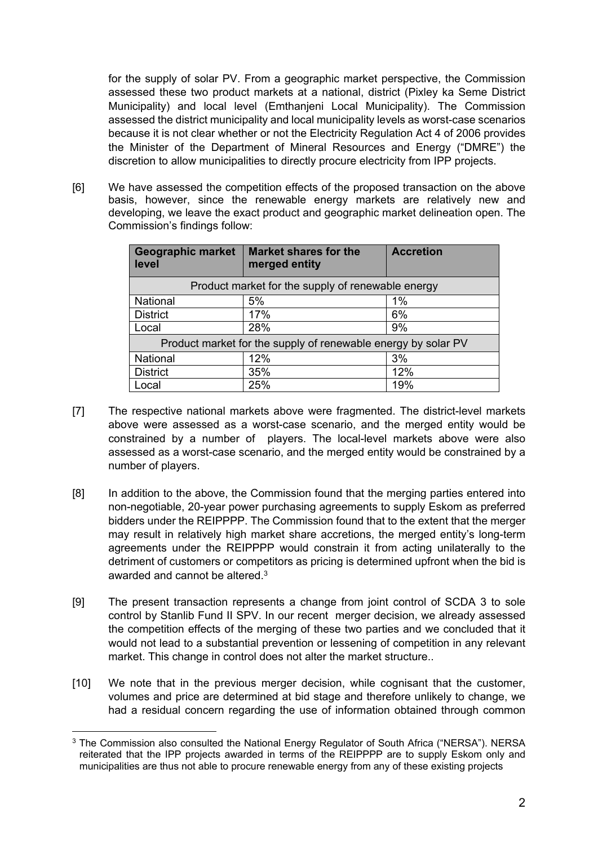for the supply of solar PV. From a geographic market perspective, the Commission assessed these two product markets at a national, district (Pixley ka Seme District Municipality) and local level (Emthanjeni Local Municipality). The Commission assessed the district municipality and local municipality levels as worst-case scenarios because it is not clear whether or not the Electricity Regulation Act 4 of 2006 provides the Minister of the Department of Mineral Resources and Energy ("DMRE") the discretion to allow municipalities to directly procure electricity from IPP projects.

[6] We have assessed the competition effects of the proposed transaction on the above basis, however, since the renewable energy markets are relatively new and developing, we leave the exact product and geographic market delineation open. The Commission's findings follow:

| <b>Geographic market</b><br>level                             | <b>Market shares for the</b><br>merged entity | <b>Accretion</b> |
|---------------------------------------------------------------|-----------------------------------------------|------------------|
| Product market for the supply of renewable energy             |                                               |                  |
| National                                                      | 5%                                            | 1%               |
| <b>District</b>                                               | 17%                                           | 6%               |
| Local                                                         | 28%                                           | 9%               |
| Product market for the supply of renewable energy by solar PV |                                               |                  |
| National                                                      | 12%                                           | 3%               |
| <b>District</b>                                               | 35%                                           | 12%              |
| Local                                                         | 25%                                           | 19%              |

- [7] The respective national markets above were fragmented. The district-level markets above were assessed as a worst-case scenario, and the merged entity would be constrained by a number of players. The local-level markets above were also assessed as a worst-case scenario, and the merged entity would be constrained by a number of players.
- [8] In addition to the above, the Commission found that the merging parties entered into non-negotiable, 20-year power purchasing agreements to supply Eskom as preferred bidders under the REIPPPP. The Commission found that to the extent that the merger may result in relatively high market share accretions, the merged entity's long-term agreements under the REIPPPP would constrain it from acting unilaterally to the detriment of customers or competitors as pricing is determined upfront when the bid is awarded and cannot be altered.<sup>3</sup>
- [9] The present transaction represents a change from joint control of SCDA 3 to sole control by Stanlib Fund II SPV. In our recent merger decision, we already assessed the competition effects of the merging of these two parties and we concluded that it would not lead to a substantial prevention or lessening of competition in any relevant market. This change in control does not alter the market structure..
- [10] We note that in the previous merger decision, while cognisant that the customer, volumes and price are determined at bid stage and therefore unlikely to change, we had a residual concern regarding the use of information obtained through common

 $^3$  The Commission also consulted the National Energy Regulator of South Africa ("NERSA"). NERSA reiterated that the IPP projects awarded in terms of the REIPPPP are to supply Eskom only and municipalities are thus not able to procure renewable energy from any of these existing projects